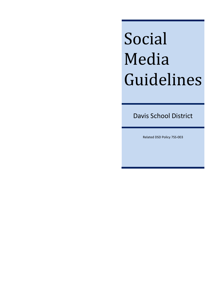# Social Media Guidelines

Davis School District

Related DSD Policy 7SS-003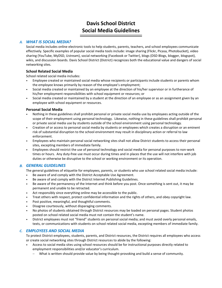# **Davis School District Social Media Guidelines**

## *A. WHAT IS SOCIAL MEDIA?*

Social media includes online electronic tools to help students, parents, teachers, and school employees communicate effectively. Specific examples of popular social media tools include: image sharing (Flickr, Picasa, Photobucket), video sharing (YouTube, MyDSD, Ustream), social networking (Facebook or Twitter), blogs (DSD Blogs, blogger, blogspot), wikis, and discussion boards. Davis School District (District) recognizes both the educational value and dangers of social networking sites.

### **School Related Social Media**

School related social media includes:

- Employee created or maintained social media whose recipients or participants include students or parents whom the employee knows primarily by reason of the employee's employment;
- Social media created or maintained by an employee at the direction of his/her supervisor or in furtherance of his/her employment responsibilities with school equipment or resources; or
- Social media created or maintained by a student at the direction of an employee or as an assignment given by an employee with school equipment or resources.

#### **Personal Social Media**

- Nothing in these guidelines shall prohibit personal or private social media use by employees acting outside of the scope of their employment using personal technology. Likewise, nothing in these guidelines shall prohibit personal or private social media use by students outside of the school environment using personal technology.
- Creation of or access to personal social media by students or employees which creates a disruption or an eminent risk of substantial disruption to the school environment may result in disciplinary action or referral to law enforcement.
- Employees who maintain personal social networking sites shall not allow District students to access their personal sites, excepting members of immediate family.
- Employees should restrict the use of personal technology and social media for personal purposes to non-work times or hours. Any duty-free use must occur during times and in places that the use will not interfere with job duties or otherwise be disruptive to the school or working environment or its operation.

#### *B. GENERAL GUIDELINES*

The general guidelines of etiquette for employees, parents, or students who use school related social media include:

- Be aware of and comply with the District Acceptable Use Agreement.
- Be aware of and comply with the District Internet Publishing Guidelines.
- Be aware of the permanency of the Internet and think before you post. Once something is sent out, it may be permanent and unable to be retracted.
- Act responsibly since everything online may be accessible to the public.
- Treat others with respect, protect confidential information and the rights of others, and obey copyright law.
- Post positive, meaningful, and thoughtful comments.
- Disagree courteously, without disparaging comments.
- No photos of students obtained through District resources may be loaded on personal pages. Student photos posted on school related social media must not contain the student's name.
- District employees must not "friend" students on personal social media; and must avoid overly personal emails, texts, or communications with students on school related social media, excepting members of immediate family.

#### *C. EMPLOYEES AND SOCIAL MEDIA*

To protect District employees, students, parents, and District resources, the District requires all employees who access or create social networking sites through District resources to abide by the following:

- Access to social media sites using school resources should be for instructional purposes directly related to employment responsibilities and/or educator's curriculum.
	- − What is written should provide value by being thought-provoking and build a sense of community.